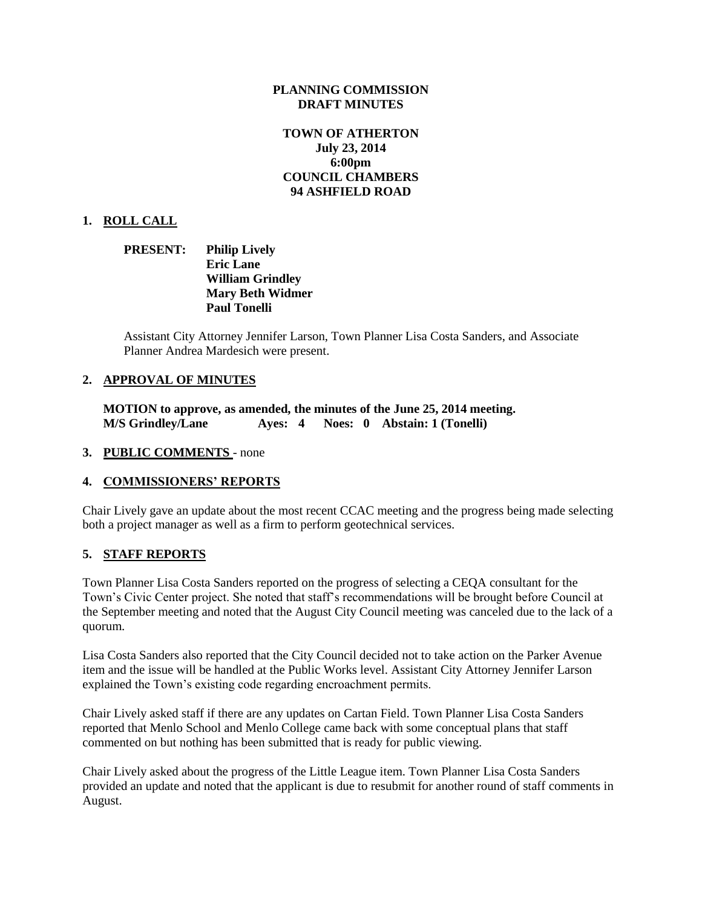## **PLANNING COMMISSION DRAFT MINUTES**

# **TOWN OF ATHERTON July 23, 2014 6:00pm COUNCIL CHAMBERS 94 ASHFIELD ROAD**

## **1. ROLL CALL**

## **PRESENT: Philip Lively Eric Lane William Grindley Mary Beth Widmer Paul Tonelli**

Assistant City Attorney Jennifer Larson, Town Planner Lisa Costa Sanders, and Associate Planner Andrea Mardesich were present.

### **2. APPROVAL OF MINUTES**

**MOTION to approve, as amended, the minutes of the June 25, 2014 meeting. M/S Grindley/Lane Ayes: 4 Noes: 0 Abstain: 1 (Tonelli)** 

#### **3. PUBLIC COMMENTS** - none

#### **4. COMMISSIONERS' REPORTS**

Chair Lively gave an update about the most recent CCAC meeting and the progress being made selecting both a project manager as well as a firm to perform geotechnical services.

### **5. STAFF REPORTS**

Town Planner Lisa Costa Sanders reported on the progress of selecting a CEQA consultant for the Town's Civic Center project. She noted that staff's recommendations will be brought before Council at the September meeting and noted that the August City Council meeting was canceled due to the lack of a quorum.

Lisa Costa Sanders also reported that the City Council decided not to take action on the Parker Avenue item and the issue will be handled at the Public Works level. Assistant City Attorney Jennifer Larson explained the Town's existing code regarding encroachment permits.

Chair Lively asked staff if there are any updates on Cartan Field. Town Planner Lisa Costa Sanders reported that Menlo School and Menlo College came back with some conceptual plans that staff commented on but nothing has been submitted that is ready for public viewing.

Chair Lively asked about the progress of the Little League item. Town Planner Lisa Costa Sanders provided an update and noted that the applicant is due to resubmit for another round of staff comments in August.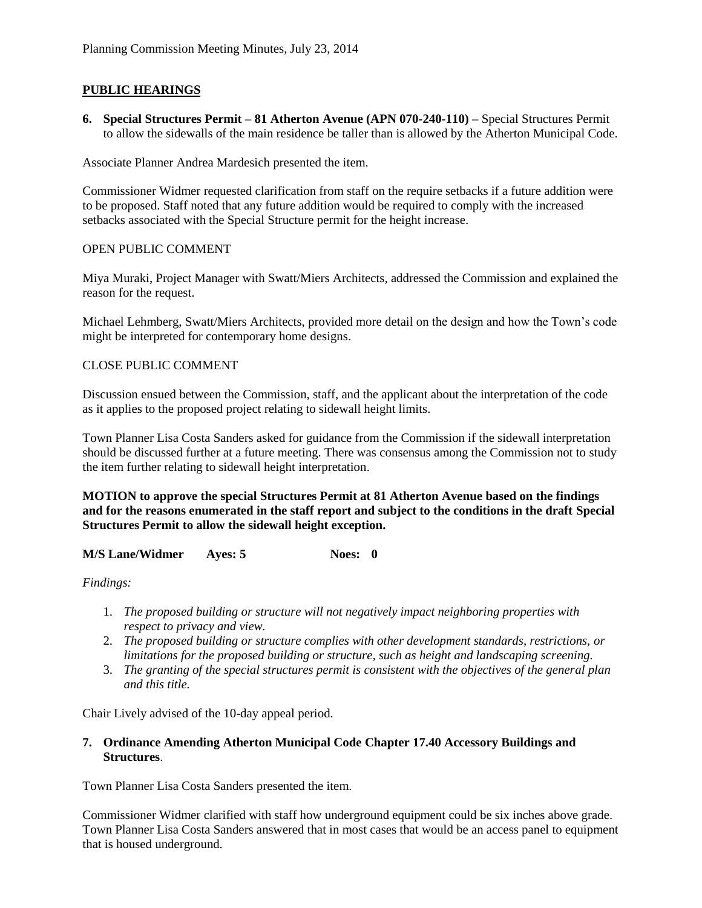# **PUBLIC HEARINGS**

**6. Special Structures Permit – 81 Atherton Avenue (APN 070-240-110) –** Special Structures Permit to allow the sidewalls of the main residence be taller than is allowed by the Atherton Municipal Code.

Associate Planner Andrea Mardesich presented the item.

Commissioner Widmer requested clarification from staff on the require setbacks if a future addition were to be proposed. Staff noted that any future addition would be required to comply with the increased setbacks associated with the Special Structure permit for the height increase.

# OPEN PUBLIC COMMENT

Miya Muraki, Project Manager with Swatt/Miers Architects, addressed the Commission and explained the reason for the request.

Michael Lehmberg, Swatt/Miers Architects, provided more detail on the design and how the Town's code might be interpreted for contemporary home designs.

# CLOSE PUBLIC COMMENT

Discussion ensued between the Commission, staff, and the applicant about the interpretation of the code as it applies to the proposed project relating to sidewall height limits.

Town Planner Lisa Costa Sanders asked for guidance from the Commission if the sidewall interpretation should be discussed further at a future meeting. There was consensus among the Commission not to study the item further relating to sidewall height interpretation.

**MOTION to approve the special Structures Permit at 81 Atherton Avenue based on the findings and for the reasons enumerated in the staff report and subject to the conditions in the draft Special Structures Permit to allow the sidewall height exception.**

**M/S Lane/Widmer Ayes: 5 Noes: 0**

*Findings:*

- 1. *The proposed building or structure will not negatively impact neighboring properties with respect to privacy and view.*
- 2. *The proposed building or structure complies with other development standards, restrictions, or limitations for the proposed building or structure, such as height and landscaping screening.*
- 3. *The granting of the special structures permit is consistent with the objectives of the general plan and this title.*

Chair Lively advised of the 10-day appeal period.

## **7. Ordinance Amending Atherton Municipal Code Chapter 17.40 Accessory Buildings and Structures**.

Town Planner Lisa Costa Sanders presented the item.

Commissioner Widmer clarified with staff how underground equipment could be six inches above grade. Town Planner Lisa Costa Sanders answered that in most cases that would be an access panel to equipment that is housed underground.